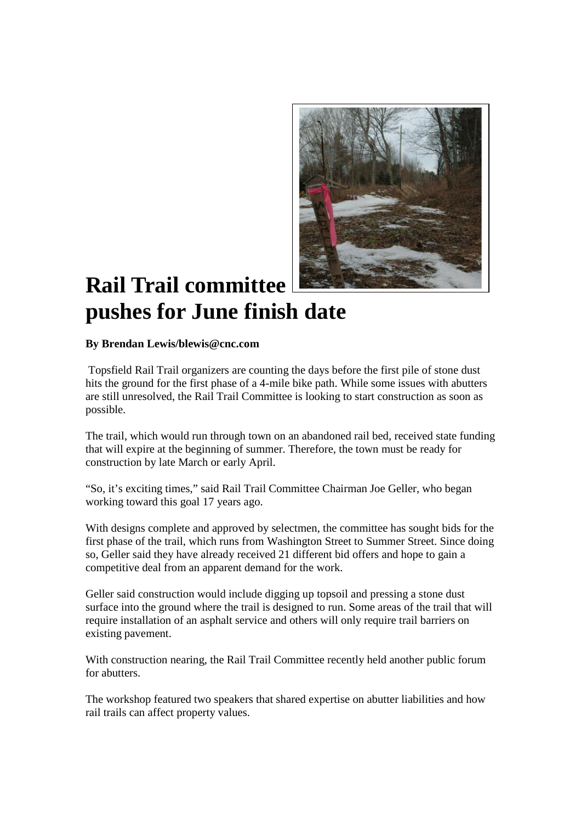

## **Rail Trail committee pushes for June finish date**

## **By Brendan Lewis/blewis@cnc.com**

Topsfield Rail Trail organizers are counting the days before the first pile of stone dust hits the ground for the first phase of a 4-mile bike path. While some issues with abutters are still unresolved, the Rail Trail Committee is looking to start construction as soon as possible.

The trail, which would run through town on an abandoned rail bed, received state funding that will expire at the beginning of summer. Therefore, the town must be ready for construction by late March or early April.

"So, it's exciting times," said Rail Trail Committee Chairman Joe Geller, who began working toward this goal 17 years ago.

With designs complete and approved by selectmen, the committee has sought bids for the first phase of the trail, which runs from Washington Street to Summer Street. Since doing so, Geller said they have already received 21 different bid offers and hope to gain a competitive deal from an apparent demand for the work.

Geller said construction would include digging up topsoil and pressing a stone dust surface into the ground where the trail is designed to run. Some areas of the trail that will require installation of an asphalt service and others will only require trail barriers on existing pavement.

With construction nearing, the Rail Trail Committee recently held another public forum for abutters.

The workshop featured two speakers that shared expertise on abutter liabilities and how rail trails can affect property values.